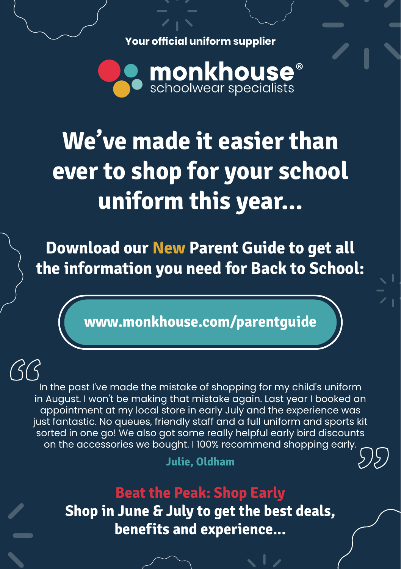**Your official uniform supplier**



## **We've made it easier than ever to shop for your school uniform this year...**

**Download our New Parent Guide to get all the information you need for Back to School:**

**www.monkhouse.com/parentguide**

In the past I've made the mistake of shopping for my child's uniform in August. I won't be making that mistake again. Last year I booked an appointment at my local store in early July and the experience was just fantastic. No queues, friendly staff and a full uniform and sports kit sorted in one go! We also got some really helpful early bird discounts on the accessories we bought. I 100% recommend shopping early. **1999**<br>"<br>in" **"**

**Julie, Oldham**

**Beat the Peak: Shop Early Shop in June & July to get the best deals, benefits and experience...**